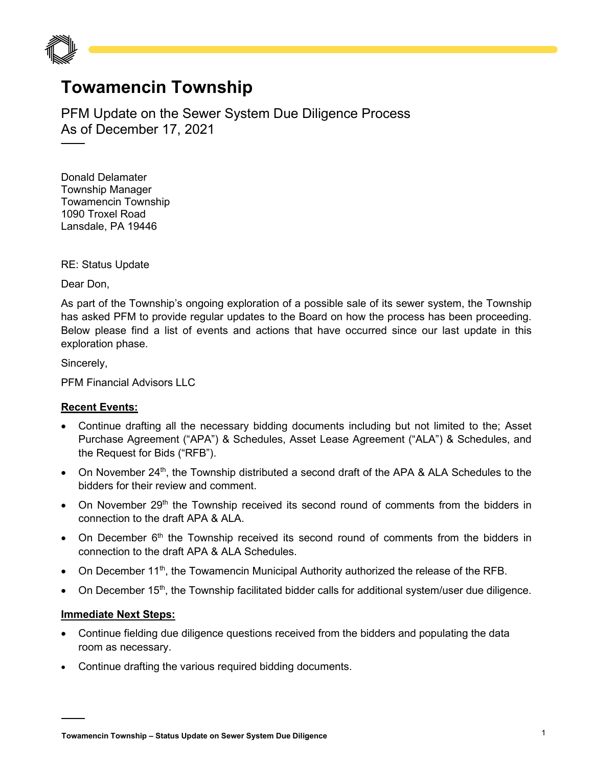

## **Towamencin Township**

PFM Update on the Sewer System Due Diligence Process As of December 17, 2021

Donald Delamater Township Manager Towamencin Township 1090 Troxel Road Lansdale, PA 19446

RE: Status Update

Dear Don,

As part of the Township's ongoing exploration of a possible sale of its sewer system, the Township has asked PFM to provide regular updates to the Board on how the process has been proceeding. Below please find a list of events and actions that have occurred since our last update in this exploration phase.

Sincerely,

PFM Financial Advisors LLC

## **Recent Events:**

- Continue drafting all the necessary bidding documents including but not limited to the; Asset Purchase Agreement ("APA") & Schedules, Asset Lease Agreement ("ALA") & Schedules, and the Request for Bids ("RFB").
- On November 24<sup>th</sup>, the Township distributed a second draft of the APA & ALA Schedules to the bidders for their review and comment.
- On November 29<sup>th</sup> the Township received its second round of comments from the bidders in connection to the draft APA & ALA.
- On December  $6<sup>th</sup>$  the Township received its second round of comments from the bidders in connection to the draft APA & ALA Schedules.
- On December 11<sup>th</sup>, the Towamencin Municipal Authority authorized the release of the RFB.
- On December 15<sup>th</sup>, the Township facilitated bidder calls for additional system/user due diligence.

## **Immediate Next Steps:**

- Continue fielding due diligence questions received from the bidders and populating the data room as necessary.
- Continue drafting the various required bidding documents.